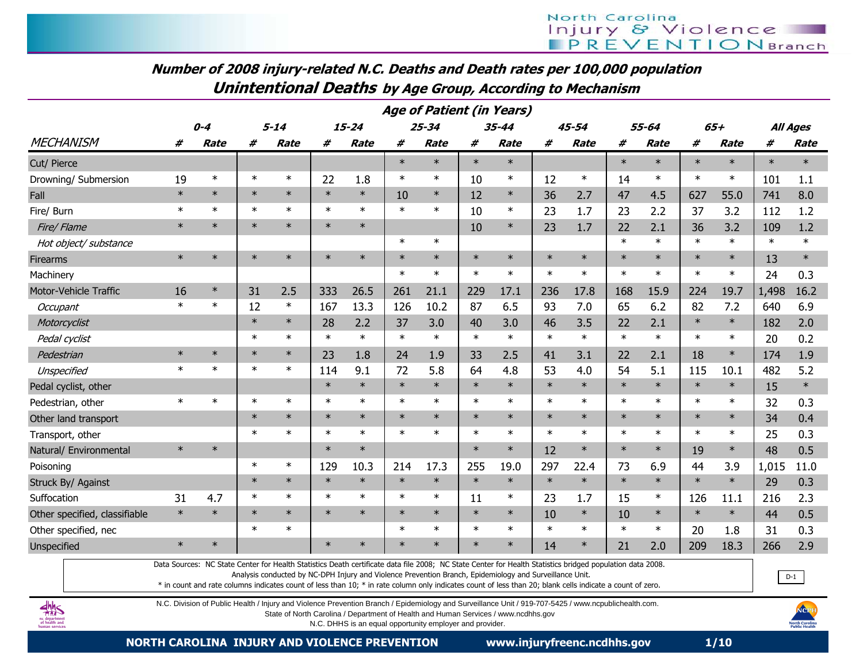# Number of 2008 injury-related N.C. Deaths and Death rates per 100,000 populationUnintentional Deaths by Age Group, According to Mechanism

|                               | <b>Age of Patient (in Years)</b> |             |        |             |        |             |        |             |        |             |        |           |        |             |        |             |                 |             |
|-------------------------------|----------------------------------|-------------|--------|-------------|--------|-------------|--------|-------------|--------|-------------|--------|-----------|--------|-------------|--------|-------------|-----------------|-------------|
|                               | $0 - 4$                          |             |        | $5 - 14$    |        | $15 - 24$   |        | $25 - 34$   |        | $35 - 44$   |        | $45 - 54$ | 55-64  |             | $65+$  |             | <b>All Ages</b> |             |
| <b>MECHANISM</b>              | #                                | <b>Rate</b> | #      | <b>Rate</b> | #      | <b>Rate</b> | #      | <b>Rate</b> | #      | <b>Rate</b> | #      | Rate      | #      | <b>Rate</b> | #      | <b>Rate</b> | #               | <b>Rate</b> |
| Cut/ Pierce                   |                                  |             |        |             |        |             | $\ast$ | $\ast$      | $\ast$ | $\ast$      |        |           | $\ast$ | $\ast$      | $\ast$ | $\ast$      | $\ast$          | $\ast$      |
| Drowning/ Submersion          | 19                               | $\ast$      | $\ast$ | $\ast$      | 22     | 1.8         | $\ast$ | $\ast$      | 10     | $\ast$      | 12     | $\ast$    | 14     | $\ast$      | $\ast$ | $\ast$      | 101             | 1.1         |
| Fall                          | $\ast$                           | $\ast$      | $\ast$ | $\ast$      | $\ast$ | $\ast$      | 10     | $\ast$      | 12     | $\ast$      | 36     | 2.7       | 47     | 4.5         | 627    | 55.0        | 741             | 8.0         |
| Fire/ Burn                    | $\ast$                           | $\ast$      | $\ast$ | $\ast$      | $\ast$ | $\ast$      | $\ast$ | $\ast$      | 10     | $\ast$      | 23     | 1.7       | 23     | 2.2         | 37     | 3.2         | 112             | 1.2         |
| Fire/ Flame                   | $\ast$                           | $\ast$      | $\ast$ | $\ast$      | $\ast$ | $\ast$      |        |             | 10     | $\ast$      | 23     | 1.7       | 22     | 2.1         | 36     | 3.2         | 109             | 1.2         |
| Hot object/ substance         |                                  |             |        |             |        |             | $\ast$ | $\ast$      |        |             |        |           | $\ast$ | $\ast$      | $\ast$ | $\ast$      | $\ast$          | $\ast$      |
| <b>Firearms</b>               | $\ast$                           | $\ast$      | $\ast$ | $\ast$      | $\ast$ | $\ast$      | $\ast$ | $\ast$      | $\ast$ | $\ast$      | $\ast$ | $\ast$    | $\ast$ | $\ast$      | $\ast$ | $\ast$      | 13              | $\ast$      |
| Machinery                     |                                  |             |        |             |        |             | $\ast$ | $\ast$      | $\ast$ | $\ast$      | $\ast$ | $\ast$    | $\ast$ | $\ast$      | $\ast$ | $\ast$      | 24              | 0.3         |
| Motor-Vehicle Traffic         | 16                               | $\ast$      | 31     | 2.5         | 333    | 26.5        | 261    | 21.1        | 229    | 17.1        | 236    | 17.8      | 168    | 15.9        | 224    | 19.7        | 1,498           | 16.2        |
| Occupant                      | $\ast$                           | $\ast$      | 12     | $\ast$      | 167    | 13.3        | 126    | 10.2        | 87     | 6.5         | 93     | 7.0       | 65     | 6.2         | 82     | 7.2         | 640             | 6.9         |
| Motorcyclist                  |                                  |             | $\ast$ | $\ast$      | 28     | 2.2         | 37     | 3.0         | 40     | 3.0         | 46     | 3.5       | 22     | 2.1         | $\ast$ | $\ast$      | 182             | 2.0         |
| Pedal cyclist                 |                                  |             | $\ast$ | $\ast$      | $\ast$ | $\ast$      | $\ast$ | $\ast$      | $\ast$ | $\ast$      | $\ast$ | $\ast$    | $\ast$ | $\ast$      | $\ast$ | $\ast$      | 20              | 0.2         |
| Pedestrian                    | $\ast$                           | $\ast$      | $\ast$ | $\ast$      | 23     | 1.8         | 24     | 1.9         | 33     | 2.5         | 41     | 3.1       | 22     | 2.1         | 18     | $\ast$      | 174             | 1.9         |
| Unspecified                   | $\ast$                           | $\ast$      | $\ast$ | $\ast$      | 114    | 9.1         | 72     | 5.8         | 64     | 4.8         | 53     | 4.0       | 54     | 5.1         | 115    | 10.1        | 482             | 5.2         |
| Pedal cyclist, other          |                                  |             |        |             | $\ast$ | $\ast$      | $\ast$ | $\ast$      | $\ast$ | $\ast$      | $\ast$ | $\ast$    | $\ast$ | $\ast$      | $\ast$ | $\ast$      | 15              | $\ast$      |
| Pedestrian, other             | $\ast$                           | $\ast$      | $\ast$ | $\ast$      | $\ast$ | $\ast$      | $\ast$ | $\ast$      | $\ast$ | $\ast$      | $\ast$ | $\ast$    | $\ast$ | $\ast$      | $\ast$ | $\ast$      | 32              | 0.3         |
| Other land transport          |                                  |             | $\ast$ | $\ast$      | $\ast$ | $\ast$      | $\ast$ | $\ast$      | $\ast$ | $\ast$      | $\ast$ | $\ast$    | $\ast$ | $\ast$      | $\ast$ | $\ast$      | 34              | 0.4         |
| Transport, other              |                                  |             | $\ast$ | $\ast$      | $\ast$ | $\ast$      | $\ast$ | $\ast$      | $\ast$ | $\ast$      | $\ast$ | $\ast$    | $\ast$ | $\ast$      | $\ast$ | $\ast$      | 25              | 0.3         |
| Natural/ Environmental        | $\ast$                           | $\ast$      |        |             | $\ast$ | $\ast$      |        |             | $\ast$ | $\ast$      | 12     | $\ast$    | $\ast$ | $\ast$      | 19     | $\ast$      | 48              | 0.5         |
| Poisoning                     |                                  |             | $\ast$ | $\ast$      | 129    | 10.3        | 214    | 17.3        | 255    | 19.0        | 297    | 22.4      | 73     | 6.9         | 44     | 3.9         | 1,015           | 11.0        |
| Struck By/ Against            |                                  |             | $\ast$ | $\ast$      | $\ast$ | $\ast$      | $\ast$ | $\ast$      | $\ast$ | $\ast$      | $\ast$ | $\ast$    | $\ast$ | $\ast$      | $\ast$ | $\ast$      | 29              | 0.3         |
| Suffocation                   | 31                               | 4.7         | $\ast$ | $\ast$      | $\ast$ | $\ast$      | $\ast$ | $\ast$      | 11     | $\ast$      | 23     | 1.7       | 15     | $\ast$      | 126    | 11.1        | 216             | 2.3         |
| Other specified, classifiable | $\ast$                           | $\ast$      | $\ast$ | $\ast$      | $\ast$ | $\ast$      | $\ast$ | $\ast$      | $\ast$ | $\ast$      | 10     | $\ast$    | 10     | $\ast$      | $\ast$ | $\ast$      | 44              | 0.5         |
| Other specified, nec          |                                  |             | $\ast$ | $\ast$      |        |             | $\ast$ | $\ast$      | $\ast$ | $\ast$      | $\ast$ | $\ast$    | $\ast$ | $\ast$      | 20     | 1.8         | 31              | 0.3         |
| Unspecified                   | $\ast$                           | $\ast$      |        |             | $\ast$ | $\ast$      | $\ast$ | $\ast$      | $\ast$ | $\ast$      | 14     | $\ast$    | 21     | 2.0         | 209    | 18.3        | 266             | 2.9         |

Data Sources: NC State Center for Health Statistics Death certificate data file 2008; NC State Center for Health Statistics bridged population data 2008.

Analysis conducted by NC-DPH Injury and Violence Prevention Branch, Epidemiology and Surveillance Unit.

\* in count and rate columns indicates count of less than 10; \* in rate column only indicates count of less than 20; blank cells indicate a count of zero.



N.C. Division of Public Health / Injury and Violence Prevention Branch / Epidemiology and Surveillance Unit / 919-707-5425 / www.ncpublichealth.com.

State of North Carolina / Department of Health and Human Services / www.ncdhhs.gov

N.C. DHHS is an equal opportunity employer and provider.

 $D-1$ 

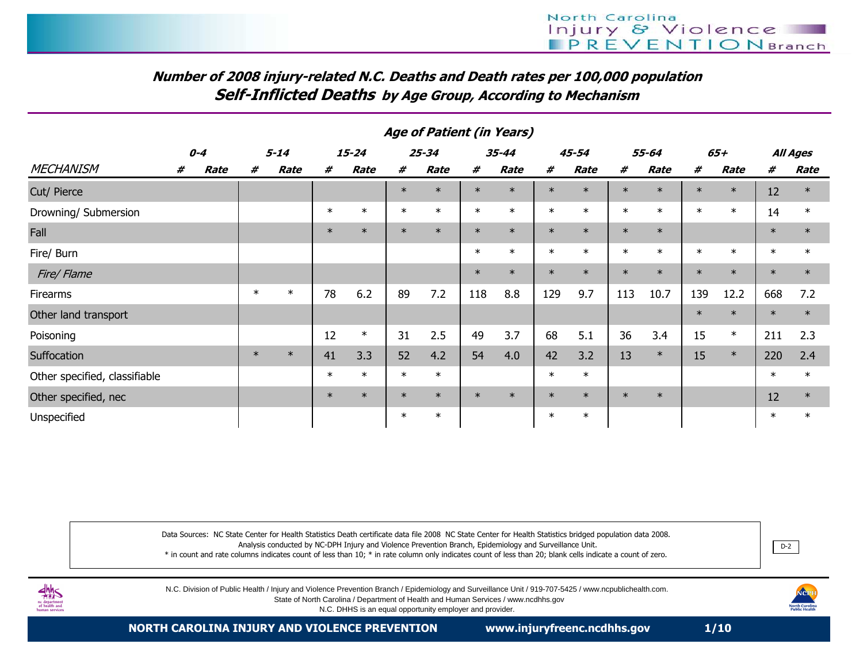# Number of 2008 injury-related N.C. Deaths and Death rates per 100,000 populationSelf-Inflicted Deaths by Age Group, According to Mechanism

|                               |         |      | Aye of Fatient (III Teals) |          |        |           |        |           |        |           |        |        |        |        |        |        |        |          |
|-------------------------------|---------|------|----------------------------|----------|--------|-----------|--------|-----------|--------|-----------|--------|--------|--------|--------|--------|--------|--------|----------|
|                               | $0 - 4$ |      |                            | $5 - 14$ |        | $15 - 24$ |        | $25 - 34$ |        | $35 - 44$ |        | 45-54  |        | 55-64  |        | 65+    |        | All Ages |
| <b>MECHANISM</b>              | #       | Rate | #                          | Rate     | #      | Rate      | #      | Rate      | #      | Rate      | #      | Rate   | #      | Rate   | #      | Rate   | #      | Rate     |
| Cut/ Pierce                   |         |      |                            |          |        |           | $\ast$ | $\ast$    | $\ast$ | $\ast$    | $\ast$ | $\ast$ | $\ast$ | $\ast$ | $\ast$ | $\ast$ | 12     | $\ast$   |
| Drowning/ Submersion          |         |      |                            |          | $\ast$ | $\ast$    | $\ast$ | $\ast$    | $\ast$ | $\ast$    | $\ast$ | $\ast$ | $\ast$ | $\ast$ | $\ast$ | $\ast$ | 14     | $\ast$   |
| Fall                          |         |      |                            |          | $\ast$ | $\ast$    | $\ast$ | $\ast$    | $\ast$ | $\ast$    | $\ast$ | $\ast$ | $\ast$ | $\ast$ |        |        | $\ast$ | $\ast$   |
| Fire/ Burn                    |         |      |                            |          |        |           |        |           | $\ast$ | $\ast$    | $\ast$ | $\ast$ | $\ast$ | $\ast$ | $\ast$ | $\ast$ | $\ast$ | $\ast$   |
| Fire/Flame                    |         |      |                            |          |        |           |        |           | $\ast$ | $\ast$    | $\ast$ | $\ast$ | $\ast$ | $\ast$ | $\ast$ | $\ast$ | $\ast$ | $\ast$   |
| Firearms                      |         |      | $\ast$                     | $\ast$   | 78     | 6.2       | 89     | 7.2       | 118    | 8.8       | 129    | 9.7    | 113    | 10.7   | 139    | 12.2   | 668    | 7.2      |
| Other land transport          |         |      |                            |          |        |           |        |           |        |           |        |        |        |        | $\ast$ | $\ast$ | $\ast$ | $\ast$   |
| Poisoning                     |         |      |                            |          | 12     | $\ast$    | 31     | 2.5       | 49     | 3.7       | 68     | 5.1    | 36     | 3.4    | 15     | $\ast$ | 211    | 2.3      |
| Suffocation                   |         |      | $\ast$                     | $\ast$   | 41     | 3.3       | 52     | 4.2       | 54     | 4.0       | 42     | 3.2    | 13     | $\ast$ | 15     | $\ast$ | 220    | 2.4      |
| Other specified, classifiable |         |      |                            |          | $\ast$ | $\ast$    | $\ast$ | $\ast$    |        |           | $\ast$ | $\ast$ |        |        |        |        | $\ast$ | $\ast$   |
| Other specified, nec          |         |      |                            |          | $\ast$ | $\ast$    | $\ast$ | $\ast$    | $\ast$ | $\ast$    | $\ast$ | $\ast$ | $\ast$ | $\ast$ |        |        | 12     | $\ast$   |
| Unspecified                   |         |      |                            |          |        |           | $\ast$ | $\ast$    |        |           | $\ast$ | $\ast$ |        |        |        |        | $\ast$ | $\ast$   |

#### Age of Patient (in Years)

Data Sources: NC State Center for Health Statistics Death certificate data file 2008 NC State Center for Health Statistics bridged population data 2008.Analysis conducted by NC-DPH Injury and Violence Prevention Branch, Epidemiology and Surveillance Unit.

\* in count and rate columns indicates count of less than 10; \* in rate column only indicates count of less than 20; blank cells indicate a count of zero.



N.C. Division of Public Health / Injury and Violence Prevention Branch / Epidemiology and Surveillance Unit / 919-707-5425 / www.ncpublichealth.com. State of North Carolina / Department of Health and Human Services / www.ncdhhs.gov

N.C. DHHS is an equal opportunity employer and provider.

NCPH<br>rth Carolina<br>blic Health

D-2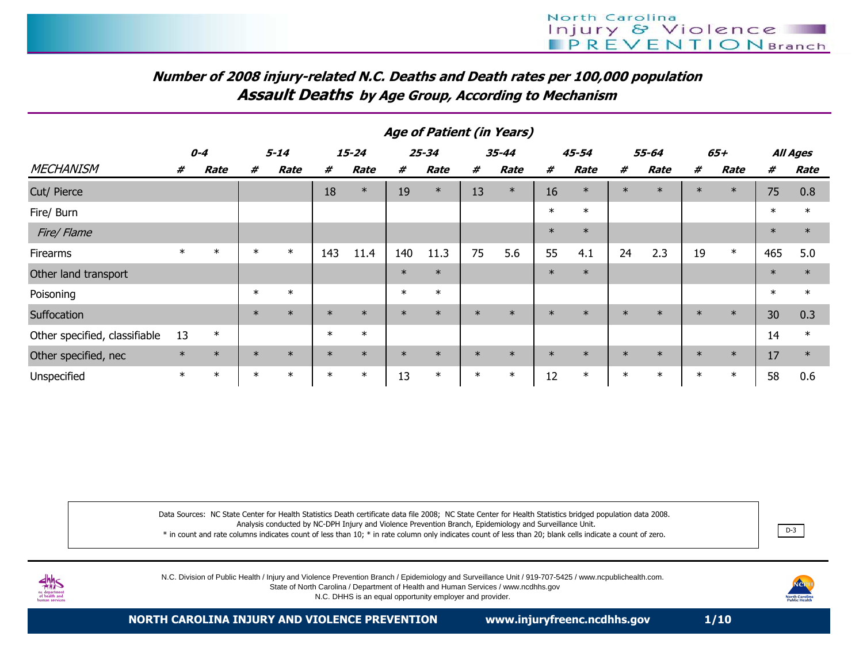# Number of 2008 injury-related N.C. Deaths and Death rates per 100,000 populationAssault Deaths by Age Group, According to Mechanism

|                               | Age of Patient (in Years) |        |          |        |        |           |        |           |        |           |        |             |        |        |        |        |        |          |
|-------------------------------|---------------------------|--------|----------|--------|--------|-----------|--------|-----------|--------|-----------|--------|-------------|--------|--------|--------|--------|--------|----------|
|                               | $0 - 4$                   |        | $5 - 14$ |        |        | $15 - 24$ |        | $25 - 34$ |        | $35 - 44$ |        | $45 - 54$   | 55-64  |        |        | 65+    |        | All Ages |
| <b>MECHANISM</b>              | #                         | Rate   | #        | Rate   | #      | Rate      | #      | Rate      | #      | Rate      | #      | <b>Rate</b> | #      | Rate   | #      | Rate   | #      | Rate     |
| Cut/ Pierce                   |                           |        |          |        | 18     | $\ast$    | 19     | $\ast$    | 13     | $\ast$    | 16     | $\ast$      | $\ast$ | $\ast$ | $\ast$ | $\ast$ | 75     | 0.8      |
| Fire/ Burn                    |                           |        |          |        |        |           |        |           |        |           | $\ast$ | $\ast$      |        |        |        |        | $\ast$ | $\ast$   |
| Fire/Flame                    |                           |        |          |        |        |           |        |           |        |           | $\ast$ | $\ast$      |        |        |        |        | $\ast$ | $\ast$   |
| <b>Firearms</b>               | $\ast$                    | $\ast$ | $\ast$   | $\ast$ | 143    | 11.4      | 140    | 11.3      | 75     | 5.6       | 55     | 4.1         | 24     | 2.3    | 19     | $\ast$ | 465    | 5.0      |
| Other land transport          |                           |        |          |        |        |           | $\ast$ | $\ast$    |        |           | $\ast$ | $\ast$      |        |        |        |        | $\ast$ | $\ast$   |
| Poisoning                     |                           |        | $\ast$   | $\ast$ |        |           | $\ast$ | $\ast$    |        |           |        |             |        |        |        |        | $\ast$ | $\ast$   |
| Suffocation                   |                           |        | $\ast$   | $\ast$ | $\ast$ | $\ast$    | $\ast$ | $\ast$    | $\ast$ | $\ast$    | $\ast$ | $\ast$      | $\ast$ | $\ast$ | $\ast$ | $\ast$ | 30     | 0.3      |
| Other specified, classifiable | 13                        | $\ast$ |          |        | $\ast$ | $\ast$    |        |           |        |           |        |             |        |        |        |        | 14     | $\ast$   |
| Other specified, nec          | $\ast$                    | $\ast$ | $\ast$   | $\ast$ | $\ast$ | $\ast$    | $\ast$ | $\ast$    | $\ast$ | $\ast$    | $\ast$ | $\ast$      | $\ast$ | $\ast$ | $\ast$ | $\ast$ | 17     | $\ast$   |
| Unspecified                   | $\ast$                    | $\ast$ | $\ast$   | $\ast$ | $\ast$ | $\ast$    | 13     | $\ast$    | $\ast$ | $\ast$    | 12     | $\ast$      | $\ast$ | $\ast$ | $\ast$ | $\ast$ | 58     | 0.6      |

Data Sources: NC State Center for Health Statistics Death certificate data file 2008; NC State Center for Health Statistics bridged population data 2008. Analysis conducted by NC-DPH Injury and Violence Prevention Branch, Epidemiology and Surveillance Unit. \* in count and rate columns indicates count of less than 10; \* in rate column only indicates count of less than 20; blank cells indicate a count of zero.. <u>D-3</u>

N.C. Division of Public Health / Injury and Violence Prevention Branch / Epidemiology and Surveillance Unit / 919-707-5425 / www.ncpublichealth.com.

 State of North Carolina / Department of Health and Human Services / www.ncdhhs.govN.C. DHHS is an equal opportunity employer and provider.

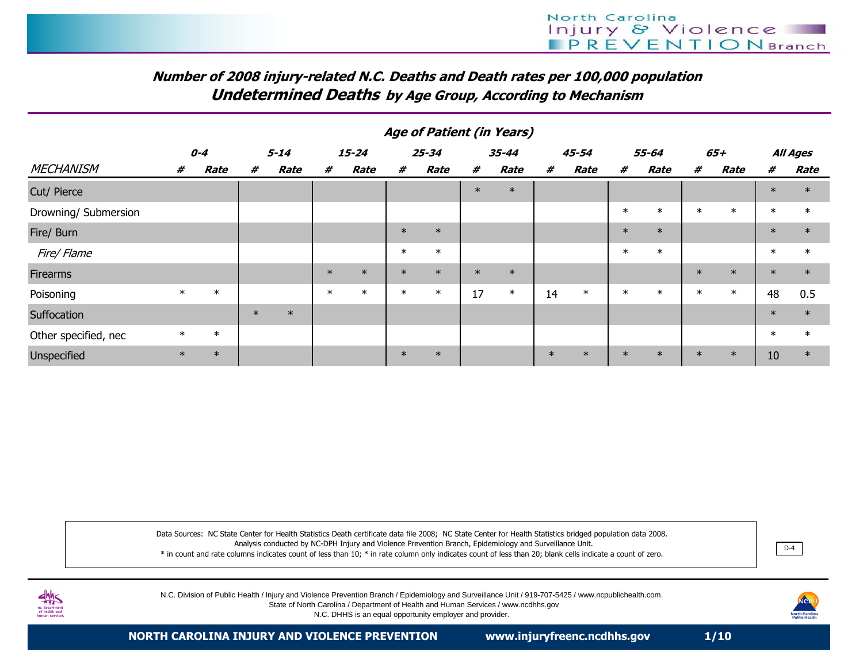# Number of 2008 injury-related N.C. Deaths and Death rates per 100,000 populationUndetermined Deaths by Age Group, According to Mechanism

|                      | Age of Patient (in Years) |        |          |        |        |           |        |             |        |           |        |             |        |             |        |             |        |             |
|----------------------|---------------------------|--------|----------|--------|--------|-----------|--------|-------------|--------|-----------|--------|-------------|--------|-------------|--------|-------------|--------|-------------|
|                      | $0 - 4$                   |        | $5 - 14$ |        |        | $15 - 24$ |        | $25 - 34$   |        | $35 - 44$ |        | 45-54       |        | 55-64       |        | 65+         |        | All Ages    |
| <b>MECHANISM</b>     | #                         | Rate   | #        | Rate   | #      | Rate      | #      | <b>Rate</b> | #      | Rate      | #      | <b>Rate</b> | #      | <b>Rate</b> | #      | <b>Rate</b> | #      | <b>Rate</b> |
| Cut/ Pierce          |                           |        |          |        |        |           |        |             | $\ast$ | $\ast$    |        |             |        |             |        |             | $\ast$ | $\ast$      |
| Drowning/ Submersion |                           |        |          |        |        |           |        |             |        |           |        |             | $\ast$ | $\ast$      | $\ast$ | $\ast$      | $\ast$ | $\ast$      |
| Fire/ Burn           |                           |        |          |        |        |           | $\ast$ | $\ast$      |        |           |        |             | $\ast$ | $\ast$      |        |             | $\ast$ | $\ast$      |
| Fire/ Flame          |                           |        |          |        |        |           | $\ast$ | $\ast$      |        |           |        |             | $\ast$ | $\ast$      |        |             | $\ast$ | $\ast$      |
| <b>Firearms</b>      |                           |        |          |        | $\ast$ | $\ast$    | $\ast$ | $\ast$      | $\ast$ | $\ast$    |        |             |        |             | $\ast$ | $\ast$      | $\ast$ | $\ast$      |
| Poisoning            | $\ast$                    | $\ast$ |          |        | $\ast$ | $\ast$    | $\ast$ | $\ast$      | 17     | $\ast$    | 14     | $\ast$      | $\ast$ | $\ast$      | $\ast$ | $\ast$      | 48     | 0.5         |
| Suffocation          |                           |        | $\ast$   | $\ast$ |        |           |        |             |        |           |        |             |        |             |        |             | $\ast$ | $\ast$      |
| Other specified, nec | $\ast$                    | $\ast$ |          |        |        |           |        |             |        |           |        |             |        |             |        |             | $\ast$ | $\ast$      |
| Unspecified          | $\ast$                    | $\ast$ |          |        |        |           | $\ast$ | $\ast$      |        |           | $\ast$ | $\ast$      | $\ast$ | $\ast$      | $\ast$ | $\ast$      | 10     | $\ast$      |

Data Sources: NC State Center for Health Statistics Death certificate data file 2008; NC State Center for Health Statistics bridged population data 2008.Analysis conducted by NC-DPH Injury and Violence Prevention Branch, Epidemiology and Surveillance Unit.

\* in count and rate columns indicates count of less than 10; \* in rate column only indicates count of less than 20; blank cells indicate a count of zero.



N.C. Division of Public Health / Injury and Violence Prevention Branch / Epidemiology and Surveillance Unit / 919-707-5425 / www.ncpublichealth.com.

State of North Carolina / Department of Health and Human Services / www.ncdhhs.gov

N.C. DHHS is an equal opportunity employer and provider.



D-4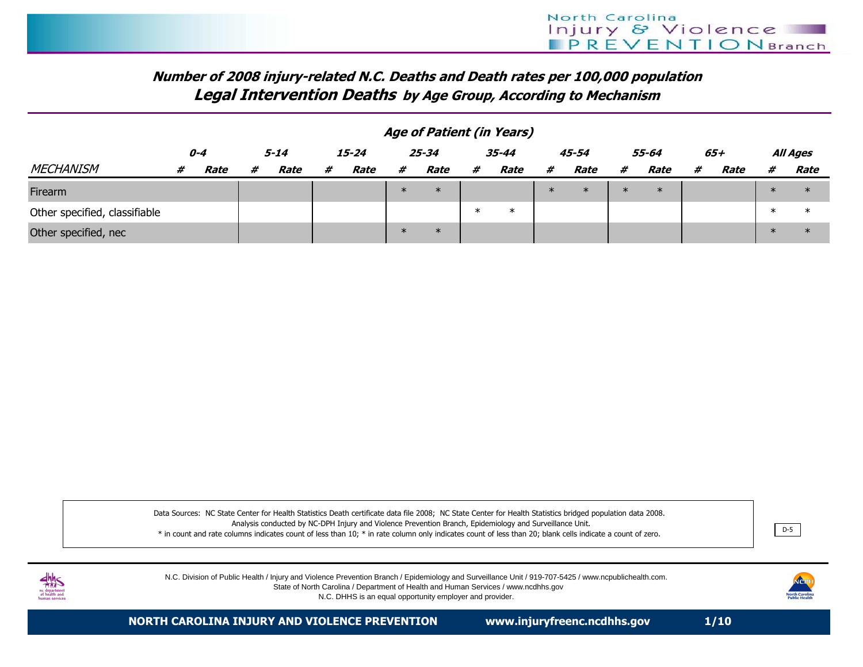### Number of 2008 injury-related N.C. Deaths and Death rates per 100,000 populationLegal Intervention Deaths by Age Group, According to Mechanism

|                               |         | Age of Patient (in Years) |      |      |       |      |           |        |           |        |        |        |        |        |   |      |        |          |
|-------------------------------|---------|---------------------------|------|------|-------|------|-----------|--------|-----------|--------|--------|--------|--------|--------|---|------|--------|----------|
|                               | $0 - 4$ |                           | 5-14 |      | 15-24 |      | $25 - 34$ |        | $35 - 44$ |        |        | 45-54  |        | 55-64  |   | 65+  |        | All Ages |
| <b>MECHANISM</b>              | #       | Rate                      | #    | Rate | #     | Rate | #         | Rate   | #         | Rate   | #      | Rate   | #      | Rate   | # | Rate | #      | Rate     |
| Firearm                       |         |                           |      |      |       |      | $\ast$    | $\ast$ |           |        | $\ast$ | $\ast$ | $\ast$ | $\ast$ |   |      | $\ast$ | $\ast$   |
| Other specified, classifiable |         |                           |      |      |       |      |           |        | $\ast$    | $\ast$ |        |        |        |        |   |      | $\ast$ | ∗        |
| Other specified, nec          |         |                           |      |      |       |      | $\ast$    | $\ast$ |           |        |        |        |        |        |   |      | $\ast$ | $\ast$   |

Data Sources: NC State Center for Health Statistics Death certificate data file 2008; NC State Center for Health Statistics bridged population data 2008. Analysis conducted by NC-DPH Injury and Violence Prevention Branch, Epidemiology and Surveillance Unit. \* in count and rate columns indicates count of less than 10; \* in rate column only indicates count of less than 20; blank cells indicate a count of zero.<u>Little</u> in the contract of the contract of the contract of the contract of the contract of the contract of the contract of the contract of the contract of the contract of the contract of the contract of the contract of th



N.C. Division of Public Health / Injury and Violence Prevention Branch / Epidemiology and Surveillance Unit / 919-707-5425 / www.ncpublichealth.com.State of North Carolina / Department of Health and Human Services / www.ncdhhs.gov

N.C. DHHS is an equal opportunity employer and provider.